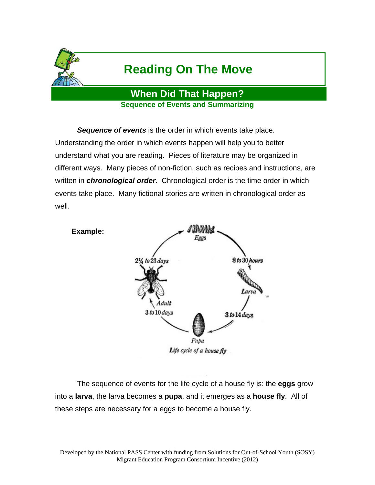

# **Reading On The Move**

**When Did That Happen? Sequence of Events and Summarizing** 

**Sequence of events** is the order in which events take place. Understanding the order in which events happen will help you to better understand what you are reading. Pieces of literature may be organized in different ways. Many pieces of non-fiction, such as recipes and instructions, are written in *chronological order*. Chronological order is the time order in which events take place. Many fictional stories are written in chronological order as well.



 The sequence of events for the life cycle of a house fly is: the **eggs** grow into a **larva**, the larva becomes a **pupa**, and it emerges as a **house fly**. All of these steps are necessary for a eggs to become a house fly.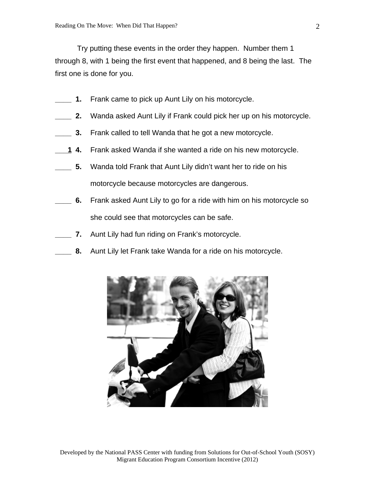Try putting these events in the order they happen. Number them 1 through 8, with 1 being the first event that happened, and 8 being the last. The first one is done for you.

- **\_\_\_\_ 1.** Frank came to pick up Aunt Lily on his motorcycle.
- **\_\_\_\_ 2.** Wanda asked Aunt Lily if Frank could pick her up on his motorcycle.
- **\_\_\_\_ 3.** Frank called to tell Wanda that he got a new motorcycle.
- Frank asked Wanda if she wanted a ride on his new motorcycle. <u>1</u> 4.
- **\_\_\_\_ 5.** Wanda told Frank that Aunt Lily didn't want her to ride on his motorcycle because motorcycles are dangerous.
- **\_\_\_\_ 6.** Frank asked Aunt Lily to go for a ride with him on his motorcycle so she could see that motorcycles can be safe.
- **\_\_\_\_ 7.** Aunt Lily had fun riding on Frank's motorcycle.
- **8.** Aunt Lily let Frank take Wanda for a ride on his motorcycle.

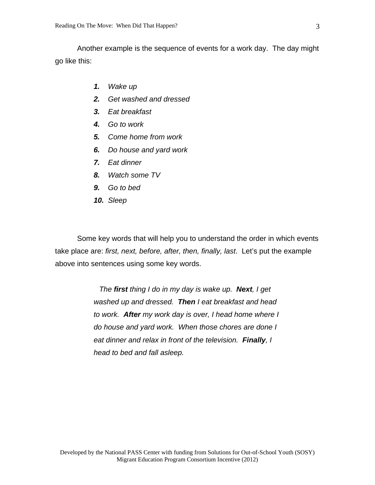Another example is the sequence of events for a work day. The day might go like this:

- *1. Wake up*
- *2. Get washed and dressed*
- *3. Eat breakfast*
- *4. Go to work*
- *5. Come home from work*
- *6. Do house and yard work*
- *7. Eat dinner*
- *8. Watch some TV*
- *9. Go to bed*
- *10. Sleep*

 Some key words that will help you to understand the order in which events take place are: *first, next, before, after, then, finally, last*. Let's put the example above into sentences using some key words.

> *The first thing I do in my day is wake up. Next, I get washed up and dressed. Then I eat breakfast and head to work. After my work day is over, I head home where I do house and yard work. When those chores are done I eat dinner and relax in front of the television. Finally, I head to bed and fall asleep.*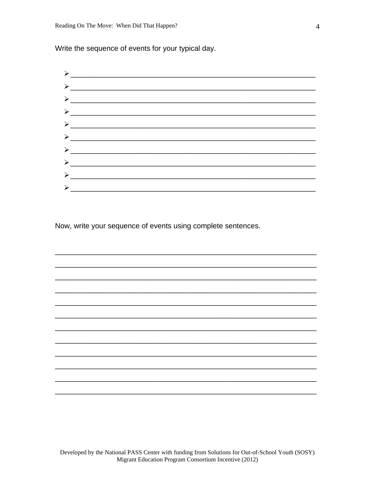Write the sequence of events for your typical day.



Now, write your sequence of events using complete sentences.

Developed by the National PASS Center with funding from Solutions for Out-of-School Youth (SOSY) Migrant Education Program Consortium Incentive (2012)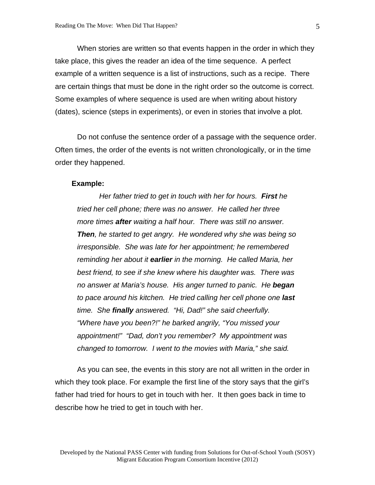When stories are written so that events happen in the order in which they take place, this gives the reader an idea of the time sequence. A perfect example of a written sequence is a list of instructions, such as a recipe. There are certain things that must be done in the right order so the outcome is correct. Some examples of where sequence is used are when writing about history (dates), science (steps in experiments), or even in stories that involve a plot.

 Do not confuse the sentence order of a passage with the sequence order. Often times, the order of the events is not written chronologically, or in the time order they happened.

#### **Example:**

 *Her father tried to get in touch with her for hours. First he tried her cell phone; there was no answer. He called her three more times after waiting a half hour. There was still no answer. Then, he started to get angry. He wondered why she was being so irresponsible. She was late for her appointment; he remembered reminding her about it earlier in the morning. He called Maria, her best friend, to see if she knew where his daughter was. There was no answer at Maria's house. His anger turned to panic. He began to pace around his kitchen. He tried calling her cell phone one last time. She finally answered. "Hi, Dad!" she said cheerfully. "Where have you been?!" he barked angrily, "You missed your appointment!" "Dad, don't you remember? My appointment was changed to tomorrow. I went to the movies with Maria," she said.* 

 As you can see, the events in this story are not all written in the order in which they took place. For example the first line of the story says that the girl's father had tried for hours to get in touch with her. It then goes back in time to describe how he tried to get in touch with her.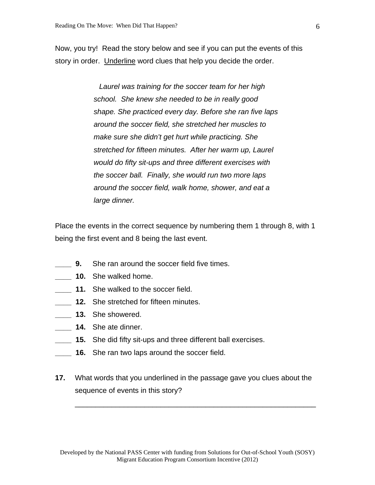Now, you try! Read the story below and see if you can put the events of this story in order. Underline word clues that help you decide the order.

> *Laurel was training for the soccer team for her high school. She knew she needed to be in really good shape. She practiced every day. Before she ran five laps around the soccer field, she stretched her muscles to make sure she didn't get hurt while practicing. She stretched for fifteen minutes. After her warm up, Laurel would do fifty sit-ups and three different exercises with the soccer ball. Finally, she would run two more laps around the soccer field, walk home, shower, and eat a large dinner.*

Place the events in the correct sequence by numbering them 1 through 8, with 1 being the first event and 8 being the last event.

- **9.** She ran around the soccer field five times.
- **10.** She walked home.
- **11.** She walked to the soccer field.
- **\_\_\_\_ 12.** She stretched for fifteen minutes.
- **\_\_\_\_ 13.** She showered.
- **14.** She ate dinner.
- **\_\_\_\_ 15.** She did fifty sit-ups and three different ball exercises.
- **\_\_\_\_ 16.** She ran two laps around the soccer field.
- **17.** What words that you underlined in the passage gave you clues about the sequence of events in this story?

\_\_\_\_\_\_\_\_\_\_\_\_\_\_\_\_\_\_\_\_\_\_\_\_\_\_\_\_\_\_\_\_\_\_\_\_\_\_\_\_\_\_\_\_\_\_\_\_\_\_\_\_\_\_\_\_\_\_\_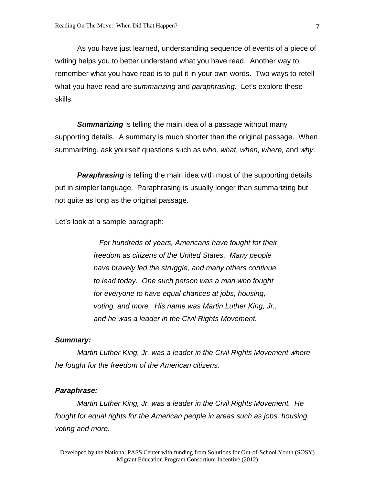As you have just learned, understanding sequence of events of a piece of writing helps you to better understand what you have read. Another way to remember what you have read is to put it in your own words. Two ways to retell what you have read are *summarizing* and *paraphrasing*. Let's explore these skills.

*Summarizing* is telling the main idea of a passage without many supporting details. A summary is much shorter than the original passage. When summarizing, ask yourself questions such as *who, what, when, where,* and *why*.

**Paraphrasing** is telling the main idea with most of the supporting details put in simpler language. Paraphrasing is usually longer than summarizing but not quite as long as the original passage.

Let's look at a sample paragraph:

 *For hundreds of years, Americans have fought for their freedom as citizens of the United States. Many people have bravely led the struggle, and many others continue to lead today. One such person was a man who fought for everyone to have equal chances at jobs, housing, voting, and more. His name was Martin Luther King, Jr., and he was a leader in the Civil Rights Movement.* 

#### *Summary:*

 *Martin Luther King, Jr. was a leader in the Civil Rights Movement where he fought for the freedom of the American citizens.* 

#### *Paraphrase:*

 *Martin Luther King, Jr. was a leader in the Civil Rights Movement. He fought for equal rights for the American people in areas such as jobs, housing, voting and more.*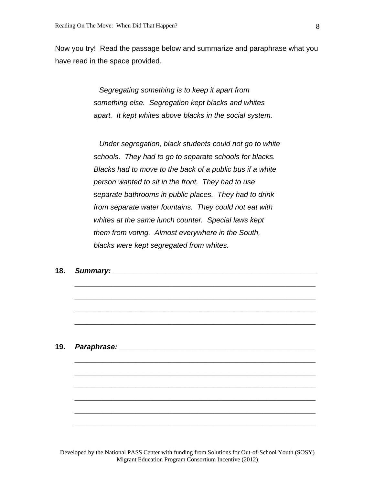Now you try! Read the passage below and summarize and paraphrase what you have read in the space provided.

> *Segregating something is to keep it apart from something else. Segregation kept blacks and whites apart. It kept whites above blacks in the social system.*

 *Under segregation, black students could not go to white schools. They had to go to separate schools for blacks. Blacks had to move to the back of a public bus if a white person wanted to sit in the front. They had to use separate bathrooms in public places. They had to drink from separate water fountains. They could not eat with whites at the same lunch counter. Special laws kept them from voting. Almost everywhere in the South, blacks were kept segregated from whites.* 

*\_\_\_\_\_\_\_\_\_\_\_\_\_\_\_\_\_\_\_\_\_\_\_\_\_\_\_\_\_\_\_\_\_\_\_\_\_\_\_\_\_\_\_\_\_\_\_\_\_\_\_\_\_\_\_\_\_\_\_*

*\_\_\_\_\_\_\_\_\_\_\_\_\_\_\_\_\_\_\_\_\_\_\_\_\_\_\_\_\_\_\_\_\_\_\_\_\_\_\_\_\_\_\_\_\_\_\_\_\_\_\_\_\_\_\_\_\_\_\_*

*\_\_\_\_\_\_\_\_\_\_\_\_\_\_\_\_\_\_\_\_\_\_\_\_\_\_\_\_\_\_\_\_\_\_\_\_\_\_\_\_\_\_\_\_\_\_\_\_\_\_\_\_\_\_\_\_\_\_\_*

*\_\_\_\_\_\_\_\_\_\_\_\_\_\_\_\_\_\_\_\_\_\_\_\_\_\_\_\_\_\_\_\_\_\_\_\_\_\_\_\_\_\_\_\_\_\_\_\_\_\_\_\_\_\_\_\_\_\_\_* 

*\_\_\_\_\_\_\_\_\_\_\_\_\_\_\_\_\_\_\_\_\_\_\_\_\_\_\_\_\_\_\_\_\_\_\_\_\_\_\_\_\_\_\_\_\_\_\_\_\_\_\_\_\_\_\_\_\_\_\_*

*\_\_\_\_\_\_\_\_\_\_\_\_\_\_\_\_\_\_\_\_\_\_\_\_\_\_\_\_\_\_\_\_\_\_\_\_\_\_\_\_\_\_\_\_\_\_\_\_\_\_\_\_\_\_\_\_\_\_\_*

*\_\_\_\_\_\_\_\_\_\_\_\_\_\_\_\_\_\_\_\_\_\_\_\_\_\_\_\_\_\_\_\_\_\_\_\_\_\_\_\_\_\_\_\_\_\_\_\_\_\_\_\_\_\_\_\_\_\_\_*

*\_\_\_\_\_\_\_\_\_\_\_\_\_\_\_\_\_\_\_\_\_\_\_\_\_\_\_\_\_\_\_\_\_\_\_\_\_\_\_\_\_\_\_\_\_\_\_\_\_\_\_\_\_\_\_\_\_\_\_*

*\_\_\_\_\_\_\_\_\_\_\_\_\_\_\_\_\_\_\_\_\_\_\_\_\_\_\_\_\_\_\_\_\_\_\_\_\_\_\_\_\_\_\_\_\_\_\_\_\_\_\_\_\_\_\_\_\_\_\_*

*\_\_\_\_\_\_\_\_\_\_\_\_\_\_\_\_\_\_\_\_\_\_\_\_\_\_\_\_\_\_\_\_\_\_\_\_\_\_\_\_\_\_\_\_\_\_\_\_\_\_\_\_\_\_\_\_\_\_\_* 

**18.** *Summary: \_\_\_\_\_\_\_\_\_\_\_\_\_\_\_\_\_\_\_\_\_\_\_\_\_\_\_\_\_\_\_\_\_\_\_\_\_\_\_\_\_\_\_\_\_\_\_\_\_\_* 

**19.** *Paraphrase: \_\_\_\_\_\_\_\_\_\_\_\_\_\_\_\_\_\_\_\_\_\_\_\_\_\_\_\_\_\_\_\_\_\_\_\_\_\_\_\_\_\_\_\_\_\_\_\_* 

Developed by the National PASS Center with funding from Solutions for Out-of-School Youth (SOSY) Migrant Education Program Consortium Incentive (2012)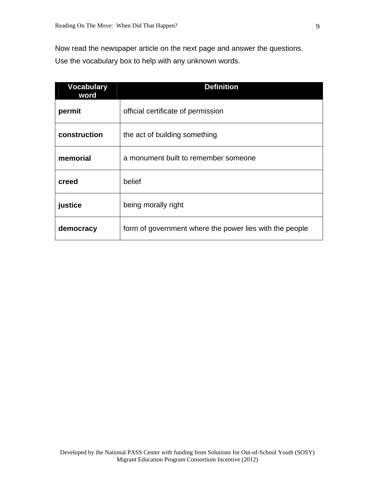Now read the newspaper article on the next page and answer the questions. Use the vocabulary box to help with any unknown words.

| <b>Vocabulary</b><br>word | <b>Definition</b>                                       |
|---------------------------|---------------------------------------------------------|
| permit                    | official certificate of permission                      |
| construction              | the act of building something                           |
| memorial                  | a monument built to remember someone                    |
| creed                     | belief                                                  |
| justice                   | being morally right                                     |
| democracy                 | form of government where the power lies with the people |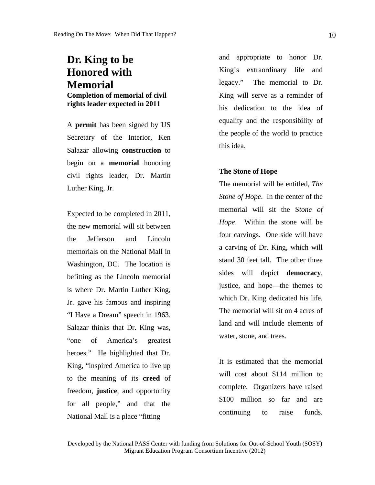## **Dr. King to be Honored with Memorial**

**Completion of memorial of civil rights leader expected in 2011**

A **permit** has been signed by US Secretary of the Interior, Ken Salazar allowing **construction** to begin on a **memorial** honoring civil rights leader, Dr. Martin Luther King, Jr.

Expected to be completed in 2011, the new memorial will sit between the Jefferson and Lincoln memorials on the National Mall in Washington, DC. The location is befitting as the Lincoln memorial is where Dr. Martin Luther King, Jr. gave his famous and inspiring "I Have a Dream" speech in 1963. Salazar thinks that Dr. King was, "one of America's greatest heroes." He highlighted that Dr. King, "inspired America to live up to the meaning of its **creed** of freedom, **justice**, and opportunity for all people," and that the National Mall is a place "fitting

and appropriate to honor Dr. King's extraordinary life and legacy." The memorial to Dr. King will serve as a reminder of his dedication to the idea of equality and the responsibility of the people of the world to practice this idea.

#### **The Stone of Hope**

The memorial will be entitled, *The Stone of Hope*. In the center of the memorial will sit the S*tone of Hope*. Within the stone will be four carvings. One side will have a carving of Dr. King, which will stand 30 feet tall. The other three sides will depict **democracy**, justice, and hope—the themes to which Dr. King dedicated his life. The memorial will sit on 4 acres of land and will include elements of water, stone, and trees.

It is estimated that the memorial will cost about \$114 million to complete. Organizers have raised \$100 million so far and are continuing to raise funds.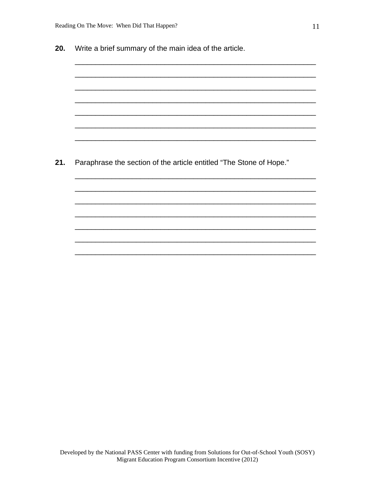| Paraphrase the section of the article entitled "The Stone of Hope." |
|---------------------------------------------------------------------|
|                                                                     |
|                                                                     |
|                                                                     |
|                                                                     |